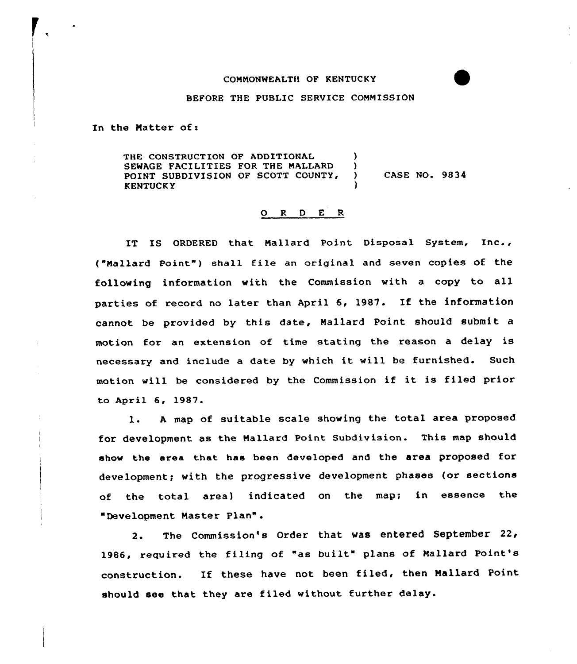## CONNONWEALTH OF KENTUCKY

## BEFORE THE PUBLIC SERVICE COMMISSION

In the Natter of:

THE CONSTRUCTION OF ADDITIONAL (3) SEWAGE FACILITIES FOR THE MALLARD )<br>POINT SUBDIVISION OF SCOTT COUNTY, ) POINT SUBDIVISION OF SCOTT COUNTY, ) CASE NO. 9834 **KENTUCKY** 

## ORDER

IT IS ORDERED that Nallard Point Disposal System, Inc., ("Mallard Point") shall file an original and seven copies of the following information with the Commission with <sup>a</sup> copy to all parties of record no later than April 6, 1987. If the information cannot be provided by this date, Mallard Point should submit a motion for an extension of time stating the reason <sup>a</sup> delay is necessary and include <sup>a</sup> date by which it vill be furnished. Such motion will be considered by the Commission if it is filed prior to April 6, 1987.

l. <sup>A</sup> map of suitable scale showing the total area proposed for development as the Nallard Point Subdivision. This map should show the area that has been developed and the area proposed for development; with the progressive development phases (or sections of the total area) indicated on the map; in essence the "Development Master Plan".

2. The Commission's Order that was entered September 22< l986, required the filing of "as built" plans of Mallard Point's construction. If these have not been filed, then Nallard Point should see that they are filed without further delay.